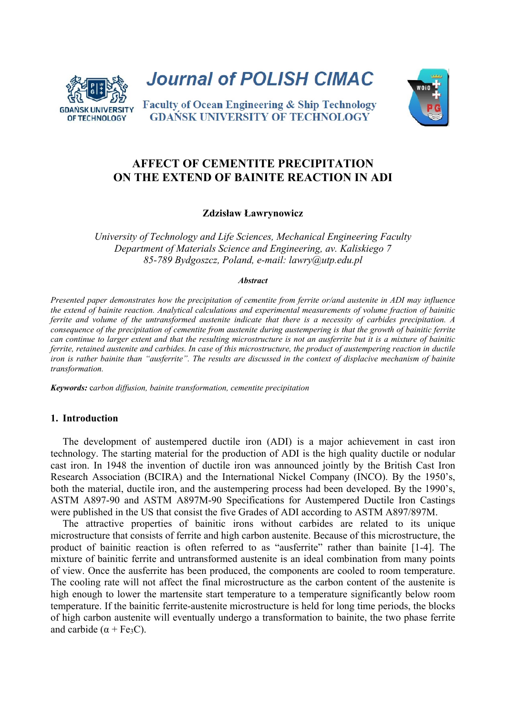

Journal of POLISH CIMAC



**Faculty of Ocean Engineering & Ship Technology GDANSK UNIVERSITY OF TECHNOLOGY** 

# **AFFECT OF CEMENTITE PRECIPITATION ON THE EXTEND OF BAINITE REACTION IN ADI**

### **Zdzisław Ławrynowicz**

*University of Technology and Life Sciences, Mechanical Engineering Faculty Department of Materials Science and Engineering, av. Kaliskiego 7 85-789 Bydgoszcz, Poland, e-mail: lawry@utp.edu.pl* 

#### *Abstract*

*Presented paper demonstrates how the precipitation of cementite from ferrite or/and austenite in ADI may influence the extend of bainite reaction. Analytical calculations and experimental measurements of volume fraction of bainitic ferrite and volume of the untransformed austenite indicate that there is a necessity of carbides precipitation. A consequence of the precipitation of cementite from austenite during austempering is that the growth of bainitic ferrite can continue to larger extent and that the resulting microstructure is not an ausferrite but it is a mixture of bainitic ferrite, retained austenite and carbides. In case of this microstructure, the product of austempering reaction in ductile iron is rather bainite than "ausferrite". The results are discussed in the context of displacive mechanism of bainite transformation.* 

*Keywords:* c*arbon diffusion, bainite transformation, cementite precipitation*

### **1. Introduction**

The development of austempered ductile iron (ADI) is a major achievement in cast iron technology. The starting material for the production of ADI is the high quality ductile or nodular cast iron. In 1948 the invention of ductile iron was announced jointly by the British Cast Iron Research Association (BCIRA) and the International Nickel Company (INCO). By the 1950's, both the material, ductile iron, and the austempering process had been developed. By the 1990's, ASTM A897-90 and ASTM A897M-90 Specifications for Austempered Ductile Iron Castings were published in the US that consist the five Grades of ADI according to ASTM A897/897M.

The attractive properties of bainitic irons without carbides are related to its unique microstructure that consists of ferrite and high carbon austenite. Because of this microstructure, the product of bainitic reaction is often referred to as "ausferrite" rather than bainite [1-4]. The mixture of bainitic ferrite and untransformed austenite is an ideal combination from many points of view. Once the ausferrite has been produced, the components are cooled to room temperature. The cooling rate will not affect the final microstructure as the carbon content of the austenite is high enough to lower the martensite start temperature to a temperature significantly below room temperature. If the bainitic ferrite-austenite microstructure is held for long time periods, the blocks of high carbon austenite will eventually undergo a transformation to bainite, the two phase ferrite and carbide  $(\alpha + Fe_3C)$ .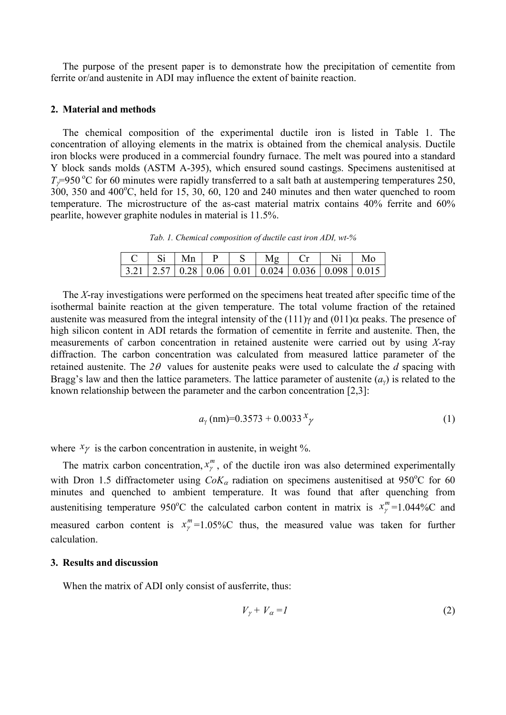The purpose of the present paper is to demonstrate how the precipitation of cementite from ferrite or/and austenite in ADI may influence the extent of bainite reaction.

#### **2. Material and methods**

The chemical composition of the experimental ductile iron is listed in Table 1. The concentration of alloying elements in the matrix is obtained from the chemical analysis. Ductile iron blocks were produced in a commercial foundry furnace. The melt was poured into a standard Y block sands molds (ASTM A-395), which ensured sound castings. Specimens austenitised at  $T_{\gamma}=950$  °C for 60 minutes were rapidly transferred to a salt bath at austempering temperatures 250,  $300, 350$  and  $400^{\circ}$ C, held for 15, 30, 60, 120 and 240 minutes and then water quenched to room temperature. The microstructure of the as-cast material matrix contains 40% ferrite and 60% pearlite, however graphite nodules in material is 11.5%.

*Tab. 1. Chemical composition of ductile cast iron ADI, wt-%* 

| $\overline{\phantom{a}}$ Si Mn |  |                                                                         |  |  |
|--------------------------------|--|-------------------------------------------------------------------------|--|--|
|                                |  | $\mid$ 3.21   2.57   0.28   0.06   0.01   0.024   0.036   0.098   0.015 |  |  |

The *X*-ray investigations were performed on the specimens heat treated after specific time of the isothermal bainite reaction at the given temperature. The total volume fraction of the retained austenite was measured from the integral intensity of the  $(111)\gamma$  and  $(011)\alpha$  peaks. The presence of high silicon content in ADI retards the formation of cementite in ferrite and austenite. Then, the measurements of carbon concentration in retained austenite were carried out by using *X*-ray diffraction. The carbon concentration was calculated from measured lattice parameter of the retained austenite. The  $2\theta$  values for austenite peaks were used to calculate the *d* spacing with Bragg's law and then the lattice parameters. The lattice parameter of austenite  $(a<sub>v</sub>)$  is related to the known relationship between the parameter and the carbon concentration [2,3]:

$$
a_{\gamma} \text{(nm)} = 0.3573 + 0.0033 \, x_{\gamma} \tag{1}
$$

where  $x\gamma$  is the carbon concentration in austenite, in weight %.

The matrix carbon concentration,  $x_{\gamma}^{m}$ , of the ductile iron was also determined experimentally with Dron 1.5 diffractometer using  $CoK_{\alpha}$  radiation on specimens austenitised at 950°C for 60 minutes and quenched to ambient temperature. It was found that after quenching from austenitising temperature 950°C the calculated carbon content in matrix is  $x_{\gamma}^{m}$ =1.044%C and measured carbon content is  $x_{\nu}^{m}=1.05\%$ C thus, the measured value was taken for further calculation.

#### **3. Results and discussion**

When the matrix of ADI only consist of ausferrite, thus:

$$
V_{\gamma} + V_{\alpha} = I \tag{2}
$$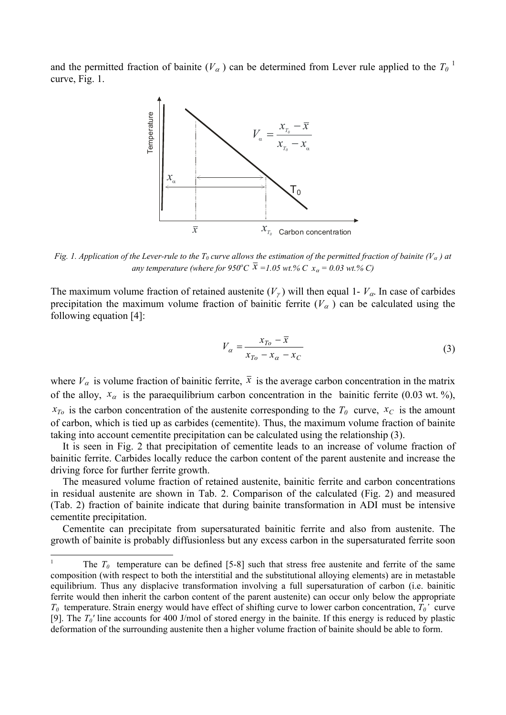and the permitted fraction of bainite  $(V_\alpha)$  can be determined from Lever rule applied to the  $T_0$ <sup>1</sup> curve, Fig. 1.



*Fig. 1. Application of the Lever-rule to the T<sub>0</sub> curve allows the estimation of the permitted fraction of bainite (V<sub>a</sub>) at any temperature (where for 950°C*  $\bar{x}$  =1.05 wt.% C  $x_{\alpha}$  = 0.03 wt.% C)

The maximum volume fraction of retained austenite  $(V<sub>\gamma</sub>)$  will then equal 1-  $V<sub>\alpha</sub>$ . In case of carbides precipitation the maximum volume fraction of bainitic ferrite  $(V_{\alpha})$  can be calculated using the following equation [4]:

$$
V_{\alpha} = \frac{x_{T_o} - \overline{x}}{x_{T_o} - x_{\alpha} - x_C} \tag{3}
$$

where  $V_{\alpha}$  is volume fraction of bainitic ferrite,  $\bar{x}$  is the average carbon concentration in the matrix of the alloy,  $x_{\alpha}$  is the paraequilibrium carbon concentration in the bainitic ferrite (0.03 wt. %),  $x_{To}$  is the carbon concentration of the austenite corresponding to the  $T_0$  curve,  $x_C$  is the amount of carbon, which is tied up as carbides (cementite). Thus, the maximum volume fraction of bainite taking into account cementite precipitation can be calculated using the relationship (3).

It is seen in Fig. 2 that precipitation of cementite leads to an increase of volume fraction of bainitic ferrite. Carbides locally reduce the carbon content of the parent austenite and increase the driving force for further ferrite growth.

The measured volume fraction of retained austenite, bainitic ferrite and carbon concentrations in residual austenite are shown in Tab. 2. Comparison of the calculated (Fig. 2) and measured (Tab. 2) fraction of bainite indicate that during bainite transformation in ADI must be intensive cementite precipitation.

Cementite can precipitate from supersaturated bainitic ferrite and also from austenite. The growth of bainite is probably diffusionless but any excess carbon in the supersaturated ferrite soon

-

<sup>1</sup> The  $T_0$  temperature can be defined [5-8] such that stress free austenite and ferrite of the same composition (with respect to both the interstitial and the substitutional alloying elements) are in metastable equilibrium. Thus any displacive transformation involving a full supersaturation of carbon (i.e. bainitic ferrite would then inherit the carbon content of the parent austenite) can occur only below the appropriate *T0* temperature. Strain energy would have effect of shifting curve to lower carbon concentration, *T0'* curve [9]. The *T0'* line accounts for 400 J/mol of stored energy in the bainite. If this energy is reduced by plastic deformation of the surrounding austenite then a higher volume fraction of bainite should be able to form.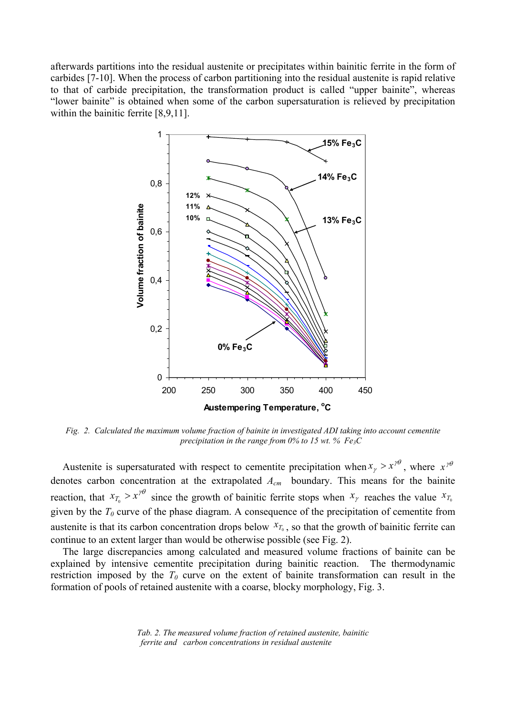afterwards partitions into the residual austenite or precipitates within bainitic ferrite in the form of carbides [7-10]. When the process of carbon partitioning into the residual austenite is rapid relative to that of carbide precipitation, the transformation product is called "upper bainite", whereas "lower bainite" is obtained when some of the carbon supersaturation is relieved by precipitation within the bainitic ferrite [8,9,11].



*Fig. 2. Calculated the maximum volume fraction of bainite in investigated ADI taking into account cementite precipitation in the range from 0% to 15 wt. % Fe3C* 

Austenite is supersaturated with respect to cementite precipitation when  $x_{\gamma} > x^{\gamma\theta}$ , where  $x^{\gamma\theta}$ denotes carbon concentration at the extrapolated *Acm* boundary. This means for the bainite reaction, that  $x_{T_0} > x^{\gamma\theta}$  since the growth of bainitic ferrite stops when  $x_{\gamma}$  reaches the value  $x_{T_0}$ given by the  $T_0$  curve of the phase diagram. A consequence of the precipitation of cementite from austenite is that its carbon concentration drops below  $x_{T_0}$ , so that the growth of bainitic ferrite can continue to an extent larger than would be otherwise possible (see Fig. 2).

The large discrepancies among calculated and measured volume fractions of bainite can be explained by intensive cementite precipitation during bainitic reaction. The thermodynamic restriction imposed by the  $T_0$  curve on the extent of bainite transformation can result in the formation of pools of retained austenite with a coarse, blocky morphology, Fig. 3.

> *Tab. 2. The measured volume fraction of retained austenite, bainitic ferrite and carbon concentrations in residual austenite*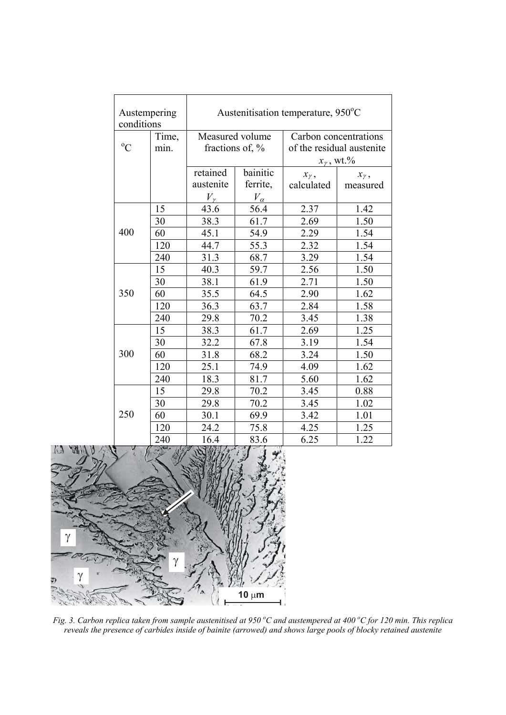| Austempering<br>conditions |       | Austenitisation temperature, 950°C |                    |                           |                |  |  |  |
|----------------------------|-------|------------------------------------|--------------------|---------------------------|----------------|--|--|--|
|                            | Time, | Measured volume                    |                    | Carbon concentrations     |                |  |  |  |
| $\rm ^{o}C$                | min.  |                                    | fractions of, $\%$ | of the residual austenite |                |  |  |  |
|                            |       |                                    |                    | $x_{\gamma}$ , wt.%       |                |  |  |  |
|                            |       | retained                           | bainitic           | $x_{\gamma}$ ,            | $x_{\gamma}$ , |  |  |  |
|                            |       | austenite                          | ferrite,           | calculated                | measured       |  |  |  |
|                            |       | $V_{\gamma}$                       | $V_{\alpha}$       |                           |                |  |  |  |
|                            | 15    | 43.6                               | 56.4               | 2.37                      | 1.42           |  |  |  |
|                            | 30    | 38.3                               | 61.7               | 2.69                      | 1.50           |  |  |  |
| 400                        | 60    | 45.1                               | 54.9               | 2.29                      | 1.54           |  |  |  |
|                            | 120   | 44.7                               | 55.3               | 2.32                      | 1.54           |  |  |  |
|                            | 240   | 31.3                               | 68.7               | 3.29                      | 1.54           |  |  |  |
|                            | 15    | 40.3                               | 59.7               | 2.56                      | 1.50           |  |  |  |
|                            | 30    | 38.1                               | 61.9               | 2.71                      | 1.50           |  |  |  |
| 350                        | 60    | 35.5                               | 64.5               | 2.90                      | 1.62           |  |  |  |
|                            | 120   | 36.3                               | 63.7               | 2.84                      | 1.58           |  |  |  |
|                            | 240   | 29.8                               | 70.2               | 3.45                      | 1.38           |  |  |  |
|                            | 15    | 38.3                               | 61.7               | 2.69                      | 1.25           |  |  |  |
|                            | 30    | 32.2                               | 67.8               | 3.19                      | 1.54           |  |  |  |
| 300                        | 60    | 31.8                               | 68.2               | 3.24                      | 1.50           |  |  |  |
|                            | 120   | 25.1                               | 74.9               | 4.09                      | 1.62           |  |  |  |
|                            | 240   | 18.3                               | 81.7               | 5.60                      | 1.62           |  |  |  |
|                            | 15    | 29.8                               | 70.2               | 3.45                      | 0.88           |  |  |  |
|                            | 30    | 29.8                               | 70.2               | 3.45                      | 1.02           |  |  |  |
| 250                        | 60    | 30.1                               | 69.9               | 3.42                      | 1.01           |  |  |  |
|                            | 120   | 24.2                               | 75.8               | 4.25                      | 1.25           |  |  |  |
|                            | 240   | 16.4                               | 83.6               | 6.25                      | 1.22           |  |  |  |



Fig. 3. Carbon replica taken from sample austenitised at 950 °C and austempered at 400 °C for 120 min. This replica *reveals the presence of carbides inside of bainite (arrowed) and shows large pools of blocky retained austenite*